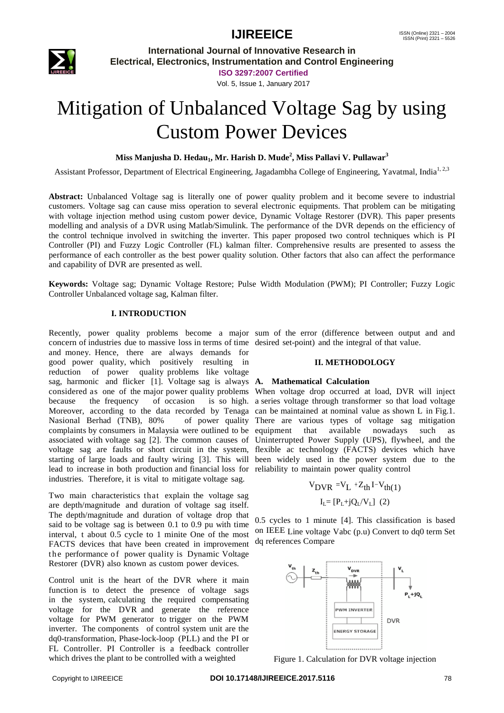

**International Journal of Innovative Research in Electrical, Electronics, Instrumentation and Control Engineering**

**ISO 3297:2007 Certified**

Vol. 5, Issue 1, January 2017

# Mitigation of Unbalanced Voltage Sag by using Custom Power Devices

### **Miss Manjusha D. Hedau1, Mr. Harish D. Mude<sup>2</sup> , Miss Pallavi V. Pullawar<sup>3</sup>**

Assistant Professor, Department of Electrical Engineering, Jagadambha College of Engineering, Yavatmal, India<sup>1, 2,3</sup>

**Abstract:** Unbalanced Voltage sag is literally one of power quality problem and it become severe to industrial customers. Voltage sag can cause miss operation to several electronic equipments. That problem can be mitigating with voltage injection method using custom power device, Dynamic Voltage Restorer (DVR). This paper presents modelling and analysis of a DVR using Matlab/Simulink. The performance of the DVR depends on the efficiency of the control technique involved in switching the inverter. This paper proposed two control techniques which is PI Controller (PI) and Fuzzy Logic Controller (FL) kalman filter. Comprehensive results are presented to assess the performance of each controller as the best power quality solution. Other factors that also can affect the performance and capability of DVR are presented as well.

**Keywords:** Voltage sag; Dynamic Voltage Restore; Pulse Width Modulation (PWM); PI Controller; Fuzzy Logic Controller Unbalanced voltage sag, Kalman filter.

#### **I. INTRODUCTION**

Recently, power quality problems become a major sum of the error (difference between output and and concern of industries due to massive loss in terms of time desired set-point) and the integral of that value. and money. Hence, there are always demands for good power quality, which positively resulting in reduction of power quality problems like voltage sag, harmonic and flicker [1]. Voltage sag is always **A. Mathematical Calculation** considered as one of the major power quality problems When voltage drop occurred at load, DVR will inject because the frequency of occasion Moreover, according to the data recorded by Tenaga can be maintained at nominal value as shown L in Fig.1. Nasional Berhad (TNB), 80% complaints by consumers in Malaysia were outlined to be equipment that associated with voltage sag [2]. The common causes of Uninterrupted Power Supply (UPS), flywheel, and the voltage sag are faults or short circuit in the system, flexible ac technology (FACTS) devices which have starting of large loads and faulty wiring [3]. This will been widely used in the power system due to the lead to increase in both production and financial loss for reliability to maintain power quality control industries. Therefore, it is vital to mitigate voltage sag.

Two main characteristics that explain the voltage sag are depth/magnitude and duration of voltage sag itself. The depth/magnitude and duration of voltage drop that said to be voltage sag is between 0.1 to 0.9 pu with time interval, t about 0.5 cycle to 1 minite One of the most FACTS devices that have been created in improvement the performance of power quality is Dynamic Voltage Restorer (DVR) also known as custom power devices.

Control unit is the heart of the DVR where it main function is to detect the presence of voltage sags in the system, calculating the required compensating voltage for the DVR and generate the reference voltage for PWM generator to trigger on the PWM inverter. The components of control system unit are the dq0-transformation, Phase-lock-loop (PLL) and the PI or FL Controller. PI Controller is a feedback controller which drives the plant to be controlled with a weighted

#### **II. METHODOLOGY**

is so high. a series voltage through transformer so that load voltage of power quality There are various types of voltage sag mitigation available nowadays such as

$$
V_{DVR} = V_{L} + Z_{th}I - V_{th(1)}
$$

$$
I_{L} = [P_{L} + jQ_{L}/V_{L}] (2)
$$

0.5 cycles to 1 minute [4]. This classification is based on IEEE Line voltage Vabc (p.u) Convert to dq0 term Set dq references Compare



Figure 1. Calculation for DVR voltage injection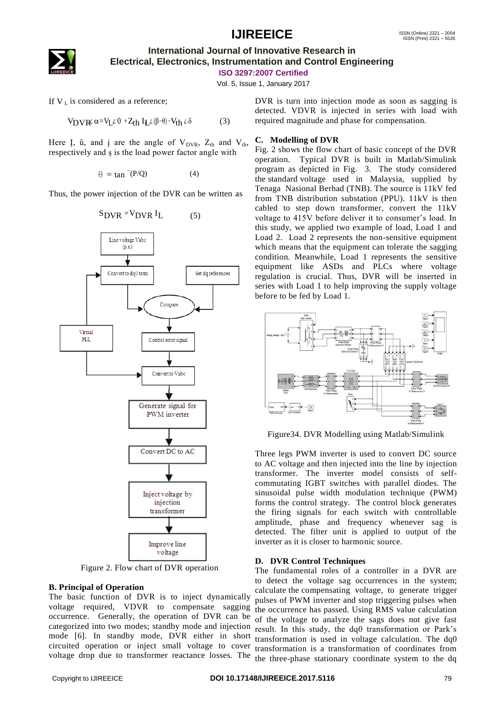

### **International Journal of Innovative Research in Electrical, Electronics, Instrumentation and Control Engineering**

**ISO 3297:2007 Certified**

Vol. 5, Issue 1, January 2017

If  $V_L$  is considered as a reference;

$$
V_{\text{DVR}^{\ell}}\alpha = V_{\text{L}}\mathcal{L} \, 0 \, + Z_{\text{th}} \, I_{\text{L}}\mathcal{L} \, (\beta = 0) - V_{\text{th}} \, \mathcal{L} \, \delta \tag{3}
$$

Here *I*,  $\ddot{u}$ , and *i* are the angle of  $V_{DVR}$ ,  $Z_{th}$  and  $V_{th}$ , respectively and ș is the load power factor angle with

 $\theta = \tan^{-1}(P/O)$  (4)

Thus, the power injection of the DVR can be written as

$$
S_{\text{DVR}} = V_{\text{DVR}} I_{\text{L}} \tag{5}
$$



Figure 2. Flow chart of DVR operation

#### **B. Principal of Operation**

The basic function of DVR is to inject dynamically voltage required, VDVR to compensate sagging occurrence. Generally, the operation of DVR can be categorized into two modes; standby mode and injection mode [6]. In standby mode, DVR either in short circuited operation or inject small voltage to cover voltage drop due to transformer reactance losses. The

DVR is turn into injection mode as soon as sagging is detected. VDVR is injected in series with load with required magnitude and phase for compensation.

#### **C. Modelling of DVR**

Fig. 2 shows the flow chart of basic concept of the DVR operation. Typical DVR is built in Matlab/Simulink program as depicted in Fig. 3. The study considered the standard voltage used in Malaysia, supplied by Tenaga Nasional Berhad (TNB). The source is 11kV fed from TNB distribution substation (PPU). 11kV is then cabled to step down transformer, convert the 11kV voltage to 415V before deliver it to consumer's load. In this study, we applied two example of load, Load 1 and Load 2. Load 2 represents the non-sensitive equipment which means that the equipment can tolerate the sagging condition. Meanwhile, Load 1 represents the sensitive equipment like ASDs and PLCs where voltage regulation is crucial. Thus, DVR will be inserted in series with Load 1 to help improving the supply voltage before to be fed by Load 1.



Figure34. DVR Modelling using Matlab/Simulink

Three legs PWM inverter is used to convert DC source to AC voltage and then injected into the line by injection transformer. The inverter model consists of selfcommutating IGBT switches with parallel diodes. The sinusoidal pulse width modulation technique (PWM) forms the control strategy. The control block generates the firing signals for each switch with controllable amplitude, phase and frequency whenever sag is detected. The filter unit is applied to output of the inverter as it is closer to harmonic source.

#### **D. DVR Control Techniques**

The fundamental roles of a controller in a DVR are to detect the voltage sag occurrences in the system; calculate the compensating voltage, to generate trigger pulses of PWM inverter and stop triggering pulses when the occurrence has passed. Using RMS value calculation of the voltage to analyze the sags does not give fast result. In this study, the dq0 transformation or Park's transformation is used in voltage calculation. The dq0 transformation is a transformation of coordinates from the three-phase stationary coordinate system to the dq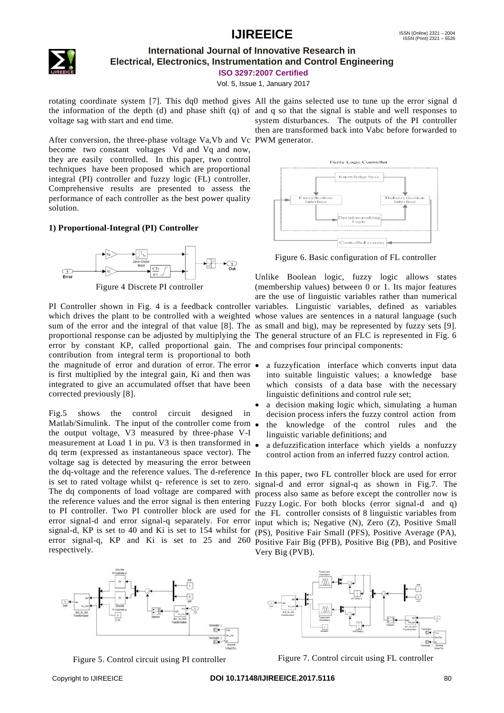

### **International Journal of Innovative Research in Electrical, Electronics, Instrumentation and Control Engineering**

**ISO 3297:2007 Certified**

Vol. 5, Issue 1, January 2017

rotating coordinate system [7]. This dq0 method gives All the gains selected use to tune up the error signal d the information of the depth (d) and phase shift (q) of and q so that the signal is stable and well responses to voltage sag with start and end time.

After conversion, the three-phase voltage Va,Vb and Vc PWM generator. become two constant voltages Vd and Vq and now, they are easily controlled. In this paper, two control techniques have been proposed which are proportional integral (PI) controller and fuzzy logic (FL) controller. Comprehensive results are presented to assess the performance of each controller as the best power quality solution.

#### **1) Proportional-Integral (PI) Controller**



Figure 4 Discrete PI controller

PI Controller shown in Fig. 4 is a feedback controller variables. Linguistic variables, defined as variables which drives the plant to be controlled with a weighted whose values are sentences in a natural language (such sum of the error and the integral of that value [8]. The as small and big), may be represented by fuzzy sets [9]. proportional response can be adjusted by multiplying the The general structure of an FLC is represented in Fig. 6 error by constant KP, called proportional gain. The and comprises four principal components: contribution from integral term is proportional to both the magnitude of error and duration of error. The error  $\bullet$ is first multiplied by the integral gain, Ki and then was integrated to give an accumulated offset that have been corrected previously [8].

Fig.5 shows the control circuit designed in Matlab/Simulink. The input of the controller come from  $\bullet$ the output voltage, V3 measured by three-phase V-I measurement at Load 1 in pu. V3 is then transformed in • dq term (expressed as instantaneous space vector). The voltage sag is detected by measuring the error between the dq-voltage and the reference values. The d-reference In this paper, two FL controller block are used for error The dq components of load voltage are compared with to PI controller. Two PI controller block are used for the  $FL$  controller consists of 8 linguistic variables from error signal-d and error signal-q separately. For error signal-d, KP is set to 40 and Ki is set to 154 whilst for  $(PS)$ , Positive Fair Small (PFS), Positive Average (PA), error signal-q, KP and Ki is set to 25 and 260 respectively.



Figure 5. Control circuit using PI controller

system disturbances. The outputs of the PI controller then are transformed back into Vabc before forwarded to



Figure 6. Basic configuration of FL controller

Unlike Boolean logic, fuzzy logic allows states (membership values) between 0 or 1. Its major features are the use of linguistic variables rather than numerical

- a fuzzyfication interface which converts input data into suitable linguistic values; a knowledge base which consists of a data base with the necessary linguistic definitions and control rule set;
- a decision making logic which, simulating a human decision process infers the fuzzy control action from
- the knowledge of the control rules and the linguistic variable definitions; and
- a defuzzification interface which yields a nonfuzzy control action from an inferred fuzzy control action.

is set to rated voltage whilst q- reference is set to zero. signal-d and error signal-q as shown in Fig.7. The the reference values and the error signal is then entering Fuzzy Logic. For both blocks (error signal-d and q) process also same as before except the controller now is input which is; Negative (N), Zero (Z), Positive Small Positive Fair Big (PFB), Positive Big (PB), and Positive Very Big (PVB).



Figure 7. Control circuit using FL controller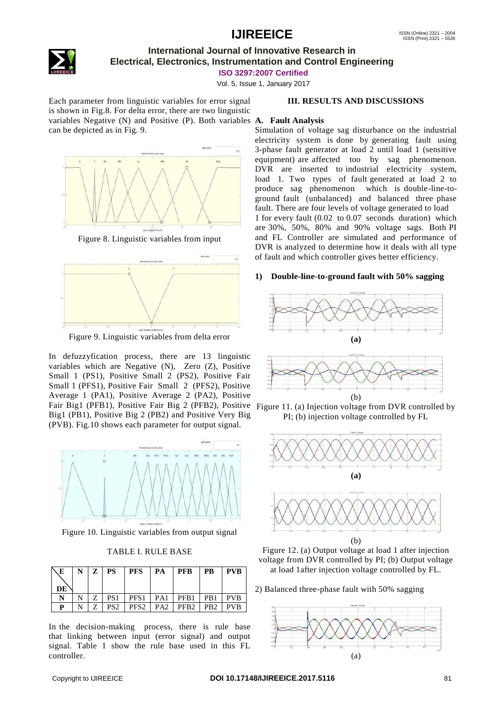

### **International Journal of Innovative Research in Electrical, Electronics, Instrumentation and Control Engineering**

**ISO 3297:2007 Certified**

Vol. 5, Issue 1, January 2017

Each parameter from linguistic variables for error signal is shown in Fig.8. For delta error, there are two linguistic variables Negative (N) and Positive (P). Both variables **A. Fault Analysis** can be depicted as in Fig. 9.



Figure 8. Linguistic variables from input



Figure 9. Linguistic variables from delta error

In defuzzyfication process, there are 13 linguistic variables which are Negative (N), Zero (Z), Positive Small 1 (PS1), Positive Small 2 (PS2), Positive Fair Small 1 (PFS1), Positive Fair Small 2 (PFS2), Positive Average 1 (PA1), Positive Average 2 (PA2), Positive Fair Big1 (PFB1), Positive Fair Big 2 (PFB2), Positive Figure 11. (a) Injection voltage from DVR controlled by Big1 (PB1), Positive Big 2 (PB2) and Positive Very Big (PVB). Fig.10 shows each parameter for output signal.



Figure 10. Linguistic variables from output signal

#### TABLE I. RULE BASE

| F.<br>DE | $Z +$ | <b>PS</b>       | <b>PFS</b>       | PA  | <b>PFB</b>       | <b>PB</b>        | <b>PVB</b> |
|----------|-------|-----------------|------------------|-----|------------------|------------------|------------|
| N        |       | PS1             | PFS <sub>1</sub> | PA1 | PFB1             | PB1              | <b>PVB</b> |
| D        |       | PS <sub>2</sub> | PFS <sub>2</sub> | PA2 | PFB <sub>2</sub> | P <sub>B</sub> 2 | <b>PVB</b> |

In the decision-making process, there is rule base that linking between input (error signal) and output signal. Table 1 show the rule base used in this FL controller.

#### **III. RESULTS AND DISCUSSIONS**

Simulation of voltage sag disturbance on the industrial electricity system is done by generating fault using 3-phase fault generator at load 2 until load 1 (sensitive equipment) are affected too by sag phenomenon. DVR are inserted to industrial electricity system, load 1. Two types of fault generated at load 2 to produce sag phenomenon which is double-line-toground fault (unbalanced) and balanced three phase fault. There are four levels of voltage generated to load 1 for every fault (0.02 to 0.07 seconds duration) which are 30%, 50%, 80% and 90% voltage sags. Both PI and FL Controller are simulated and performance of DVR is analyzed to determine how it deals with all type of fault and which controller gives better efficiency.

#### **1) Double-line-to-ground fault with 50% sagging**



PI; (b) injection voltage controlled by FL





2) Balanced three-phase fault with 50% sagging

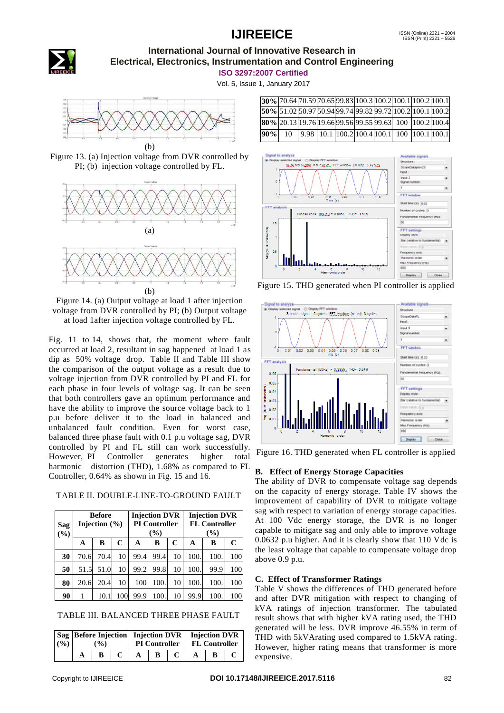

### **International Journal of Innovative Research in Electrical, Electronics, Instrumentation and Control Engineering**

**ISO 3297:2007 Certified**

Vol. 5, Issue 1, January 2017



Figure 13. (a) Injection voltage from DVR controlled by PI; (b) injection voltage controlled by FL.



Figure 14. (a) Output voltage at load 1 after injection voltage from DVR controlled by PI; (b) Output voltage at load 1after injection voltage controlled by FL.

Fig. 11 to 14, shows that, the moment where fault occurred at load 2, resultant in sag happened at load 1 as dip as 50% voltage drop. Table II and Table III show the comparison of the output voltage as a result due to voltage injection from DVR controlled by PI and FL for each phase in four levels of voltage sag. It can be seen that both controllers gave an optimum performance and have the ability to improve the source voltage back to 1 p.u before deliver it to the load in balanced and unbalanced fault condition. Even for worst case, balanced three phase fault with 0.1 p.u voltage sag, DVR controlled by PI and FL still can work successfully. However, PI Controller generates higher total harmonic distortion (THD), 1.68% as compared to FL Controller, 0.64% as shown in Fig. 15 and 16.

TABLE II. DOUBLE-LINE-TO-GROUND FAULT

| <b>Sag</b><br>(9/0) | <b>Before</b><br>Injection $(\% )$ |      |     | <b>Injection DVR</b><br><b>PI</b> Controller<br>$($ %) |      |    | <b>Injection DVR</b><br><b>FL Controller</b><br>$($ %) |      |     |
|---------------------|------------------------------------|------|-----|--------------------------------------------------------|------|----|--------------------------------------------------------|------|-----|
|                     | A                                  | B    | C   | A                                                      | B    | C  | A                                                      | в    | C   |
| 30                  | 70.6                               | 70.4 | 10  | 99.4                                                   | 99.4 | 10 | 100.                                                   | 100. | 100 |
| 50                  | 51.5                               | 51.0 | 10  | 99.2                                                   | 99.8 | 10 | 100.                                                   | 99.9 | 100 |
| 80                  | 20.6                               | 20.4 | 10  | 100                                                    | 100. | 10 | 100.                                                   | 100. | 100 |
| 90                  |                                    | 10.  | 100 | 99.9                                                   | 100. | 10 | 99.9                                                   | 100. | 100 |

|  | TABLE III. BALANCED THREE PHASE FAULT |  |  |  |
|--|---------------------------------------|--|--|--|
|--|---------------------------------------|--|--|--|

| (9/0) | $\frac{1}{2}$ | Sag   Before Injection   Injection DVR   Injection DVR |   |  | <b>PI Controller</b> FL Controller |  |  |
|-------|---------------|--------------------------------------------------------|---|--|------------------------------------|--|--|
|       |               |                                                        | R |  |                                    |  |  |

|     |    |  |  | 30% 70.64 70.59 70.65 99.83 100.3 100.2 100.1 100.2 100.1                                                   |                                                         |
|-----|----|--|--|-------------------------------------------------------------------------------------------------------------|---------------------------------------------------------|
|     |    |  |  | 50\% 51.02 50.97 50.94 99.74 99.82 99.72 100.2 100.1 100.2                                                  |                                                         |
|     |    |  |  |                                                                                                             | 80% 20.13 19.76 19.66 99.56 99.55 99.63 100 100.2 100.4 |
| 90% | 10 |  |  | $\vert$ 9.98 $\vert$ 10.1 $\vert$ 100.2 $\vert$ 100.4 $\vert$ 100.1 $\vert$ 100 $\vert$ 100.1 $\vert$ 100.1 |                                                         |



Figure 15. THD generated when PI controller is applied



Figure 16. THD generated when FL controller is applied

#### **B. Effect of Energy Storage Capacities**

The ability of DVR to compensate voltage sag depends on the capacity of energy storage. Table IV shows the improvement of capability of DVR to mitigate voltage sag with respect to variation of energy storage capacities. At 100 Vdc energy storage, the DVR is no longer capable to mitigate sag and only able to improve voltage 0.0632 p.u higher. And it is clearly show that 110 Vdc is the least voltage that capable to compensate voltage drop above 0.9 p.u.

#### **C. Effect of Transformer Ratings**

Table V shows the differences of THD generated before and after DVR mitigation with respect to changing of kVA ratings of injection transformer. The tabulated result shows that with higher kVA rating used, the THD generated will be less. DVR improve 46.55% in term of THD with 5kVArating used compared to 1.5kVA rating. However, higher rating means that transformer is more expensive.